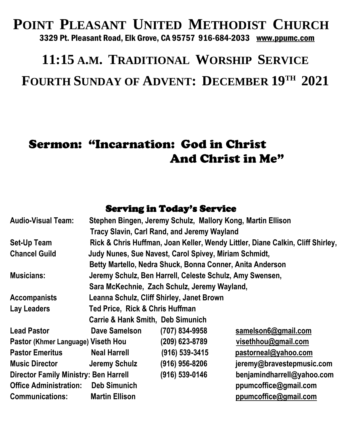#### **POINT PLEASANT UNITED METHODIST CHURCH** 3329 Pt. Pleasant Road, Elk Grove, CA 95757 916-684-2033 [www.ppumc.com](http://www.ppumc.com/)

# **11:15 A.M. TRADITIONAL WORSHIP SERVICE FOURTH SUNDAY OF ADVENT: DECEMBER 19TH 2021**

## Sermon: "Incarnation: God in Christ And Christ in Me"

#### Serving in Today's Service

| <b>Audio-Visual Team:</b>                    |                                                                                | Stephen Bingen, Jeremy Schulz, Mallory Kong, Martin Ellison |                            |
|----------------------------------------------|--------------------------------------------------------------------------------|-------------------------------------------------------------|----------------------------|
|                                              |                                                                                | Tracy Slavin, Carl Rand, and Jeremy Wayland                 |                            |
| Set-Up Team                                  | Rick & Chris Huffman, Joan Keller, Wendy Littler, Diane Calkin, Cliff Shirley, |                                                             |                            |
| <b>Chancel Guild</b>                         | Judy Nunes, Sue Navest, Carol Spivey, Miriam Schmidt,                          |                                                             |                            |
|                                              | Betty Martello, Nedra Shuck, Bonna Conner, Anita Anderson                      |                                                             |                            |
| <b>Musicians:</b>                            | Jeremy Schulz, Ben Harrell, Celeste Schulz, Amy Swensen,                       |                                                             |                            |
|                                              | Sara McKechnie, Zach Schulz, Jeremy Wayland,                                   |                                                             |                            |
| <b>Accompanists</b>                          | Leanna Schulz, Cliff Shirley, Janet Brown                                      |                                                             |                            |
| Lay Leaders                                  | Ted Price, Rick & Chris Huffman                                                |                                                             |                            |
|                                              | <b>Carrie &amp; Hank Smith, Deb Simunich</b>                                   |                                                             |                            |
| <b>Lead Pastor</b>                           | Dave Samelson                                                                  | (707) 834-9958                                              | samelson6@gmail.com        |
| Pastor (Khmer Language) Viseth Hou           |                                                                                | (209) 623-8789                                              | visethhou@gmail.com        |
| <b>Pastor Emeritus</b>                       | <b>Neal Harrell</b>                                                            | (916) 539-3415                                              | pastorneal@yahoo.com       |
| <b>Music Director</b>                        | Jeremy Schulz                                                                  | (916) 956-8206                                              | jeremy@bravestepmusic.com  |
| <b>Director Family Ministry: Ben Harrell</b> |                                                                                | (916) 539-0146                                              | benjamindharrell@yahoo.com |
| <b>Office Administration:</b>                | <b>Deb Simunich</b>                                                            |                                                             | ppumcoffice@gmail.com      |
| <b>Communications:</b>                       | <b>Martin Ellison</b>                                                          |                                                             | ppumcoffice@gmail.com      |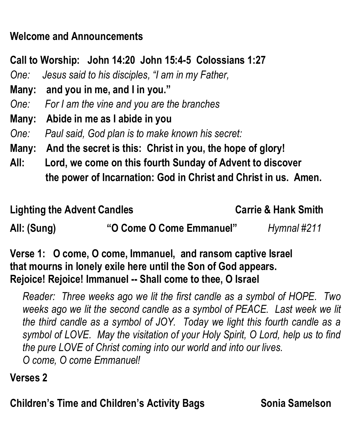## **Welcome and Announcements**

**Call to Worship: John 14:20 John 15:4-5 Colossians 1:27**

*One: Jesus said to his disciples, "I am in my Father,* 

**Many: and you in me, and I in you."**

*One: For I am the vine and you are the branches*

**Many: Abide in me as I abide in you**

*One: Paul said, God plan is to make known his secret:*

**Many: And the secret is this: Christ in you, the hope of glory!**

**All: Lord, we come on this fourth Sunday of Advent to discover the power of Incarnation: God in Christ and Christ in us. Amen.**

#### Lighting the Advent Candles **Carrie & Hank Smith**

**All: (Sung) "O Come O Come Emmanuel"** *Hymnal #211*

**Verse 1: O come, O come, Immanuel, and ransom captive Israel that mourns in lonely exile here until the Son of God appears. Rejoice! Rejoice! Immanuel -- Shall come to thee, O Israel**

*Reader: Three weeks ago we lit the first candle as a symbol of HOPE. Two weeks ago we lit the second candle as a symbol of PEACE. Last week we lit the third candle as a symbol of JOY. Today we light this fourth candle as a symbol of LOVE. May the visitation of your Holy Spirit, O Lord, help us to find the pure LOVE of Christ coming into our world and into our lives. O come, O come Emmanuel!*

### **Verses 2**

**Children's Time and Children's Activity Bags Sonia Samelson**